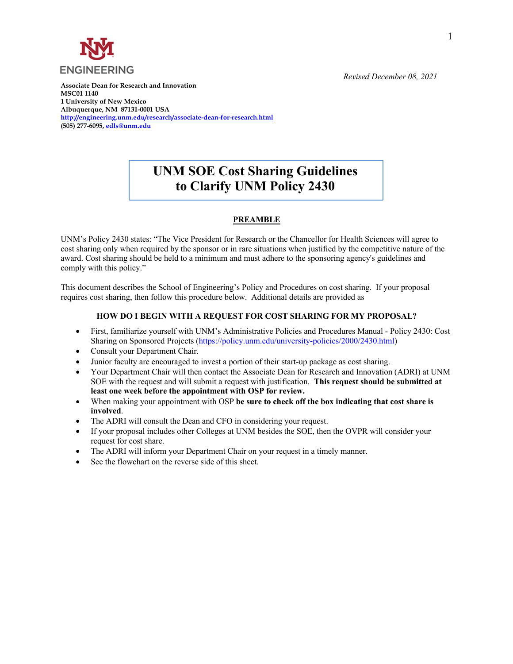

**Associate Dean for Research and Innovation MSC01 1140 1 University of New Mexico Albuquerque, NM 87131-0001 USA http://engineering.unm.edu/research/associate-dean-for-research.html (505) 277-6095, edls@unm.edu**

## *Revised December 08, 2021*

## **UNM SOE Cost Sharing Guidelines to Clarify UNM Policy 2430**

## **PREAMBLE**

UNM's Policy 2430 states: "The Vice President for Research or the Chancellor for Health Sciences will agree to cost sharing only when required by the sponsor or in rare situations when justified by the competitive nature of the award. Cost sharing should be held to a minimum and must adhere to the sponsoring agency's guidelines and comply with this policy."

This document describes the School of Engineering's Policy and Procedures on cost sharing. If your proposal requires cost sharing, then follow this procedure below. Additional details are provided as

## **HOW DO I BEGIN WITH A REQUEST FOR COST SHARING FOR MY PROPOSAL?**

- First, familiarize yourself with UNM's Administrative Policies and Procedures Manual Policy 2430: Cost Sharing on Sponsored Projects (https://policy.unm.edu/university-policies/2000/2430.html)
- Consult your Department Chair.
- Junior faculty are encouraged to invest a portion of their start-up package as cost sharing.
- Your Department Chair will then contact the Associate Dean for Research and Innovation (ADRI) at UNM SOE with the request and will submit a request with justification. **This request should be submitted at least one week before the appointment with OSP for review.**
- When making your appointment with OSP **be sure to check off the box indicating that cost share is involved**.
- The ADRI will consult the Dean and CFO in considering your request.
- If your proposal includes other Colleges at UNM besides the SOE, then the OVPR will consider your request for cost share.
- The ADRI will inform your Department Chair on your request in a timely manner.
- See the flowchart on the reverse side of this sheet.